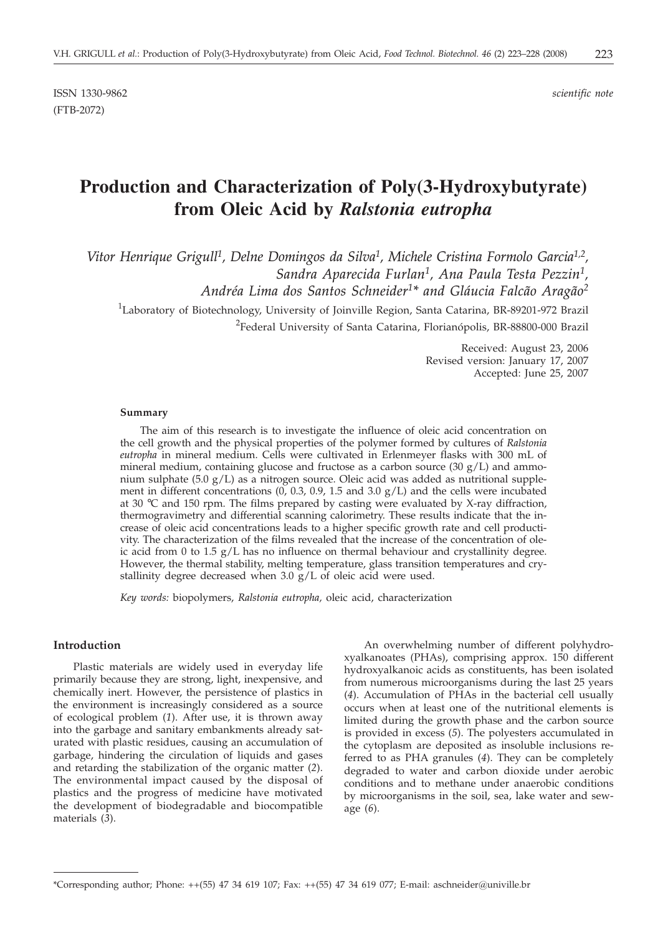ISSN 1330-9862 *scientific note* (FTB-2072)

# **Production and Characterization of Poly(3-Hydroxybutyrate) from Oleic Acid by** *Ralstonia eutropha*

Vitor Henrique Grigull<sup>1</sup>, Delne Domingos da Silva<sup>1</sup>, Michele Cristina Formolo Garcia<sup>1,2</sup>, *Sandra Aparecida Furlan1, Ana Paula Testa Pezzin1,*

*Andréa Lima dos Santos Schneider1\* and Gláucia Falcão Aragão2*

<sup>1</sup>Laboratory of Biotechnology, University of Joinville Region, Santa Catarina, BR-89201-972 Brazil

<sup>2</sup>Federal University of Santa Catarina, Florianópolis, BR-88800-000 Brazil

Received: August 23, 2006 Revised version: January 17, 2007 Accepted: June 25, 2007

#### **Summary**

The aim of this research is to investigate the influence of oleic acid concentration on the cell growth and the physical properties of the polymer formed by cultures of *Ralstonia eutropha* in mineral medium. Cells were cultivated in Erlenmeyer flasks with 300 mL of mineral medium, containing glucose and fructose as a carbon source  $(30 g/L)$  and ammonium sulphate (5.0  $g/L$ ) as a nitrogen source. Oleic acid was added as nutritional supplement in different concentrations  $(0, 0.3, 0.9, 1.5 \text{ and } 3.0 \text{ g/L})$  and the cells were incubated at 30  $\degree$ C and 150 rpm. The films prepared by casting were evaluated by X-ray diffraction, thermogravimetry and differential scanning calorimetry. These results indicate that the increase of oleic acid concentrations leads to a higher specific growth rate and cell productivity. The characterization of the films revealed that the increase of the concentration of oleic acid from 0 to 1.5  $g/L$  has no influence on thermal behaviour and crystallinity degree. However, the thermal stability, melting temperature, glass transition temperatures and crystallinity degree decreased when  $3.0 \text{ g/L}$  of oleic acid were used.

*Key words:* biopolymers, *Ralstonia eutropha,* oleic acid, characterization

### **Introduction**

Plastic materials are widely used in everyday life primarily because they are strong, light, inexpensive, and chemically inert. However, the persistence of plastics in the environment is increasingly considered as a source of ecological problem (*1*). After use, it is thrown away into the garbage and sanitary embankments already saturated with plastic residues, causing an accumulation of garbage, hindering the circulation of liquids and gases and retarding the stabilization of the organic matter (*2*). The environmental impact caused by the disposal of plastics and the progress of medicine have motivated the development of biodegradable and biocompatible materials (*3*).

An overwhelming number of different polyhydroxyalkanoates (PHAs), comprising approx. 150 different hydroxyalkanoic acids as constituents, has been isolated from numerous microorganisms during the last 25 years (*4*). Accumulation of PHAs in the bacterial cell usually occurs when at least one of the nutritional elements is limited during the growth phase and the carbon source is provided in excess (*5*). The polyesters accumulated in the cytoplasm are deposited as insoluble inclusions referred to as PHA granules (*4*). They can be completely degraded to water and carbon dioxide under aerobic conditions and to methane under anaerobic conditions by microorganisms in the soil, sea, lake water and sewage (*6*).

<sup>\*</sup>Corresponding author; Phone: ++(55) 47 34 619 107; Fax: ++(55) 47 34 619 077; E-mail: aschneider@univille.br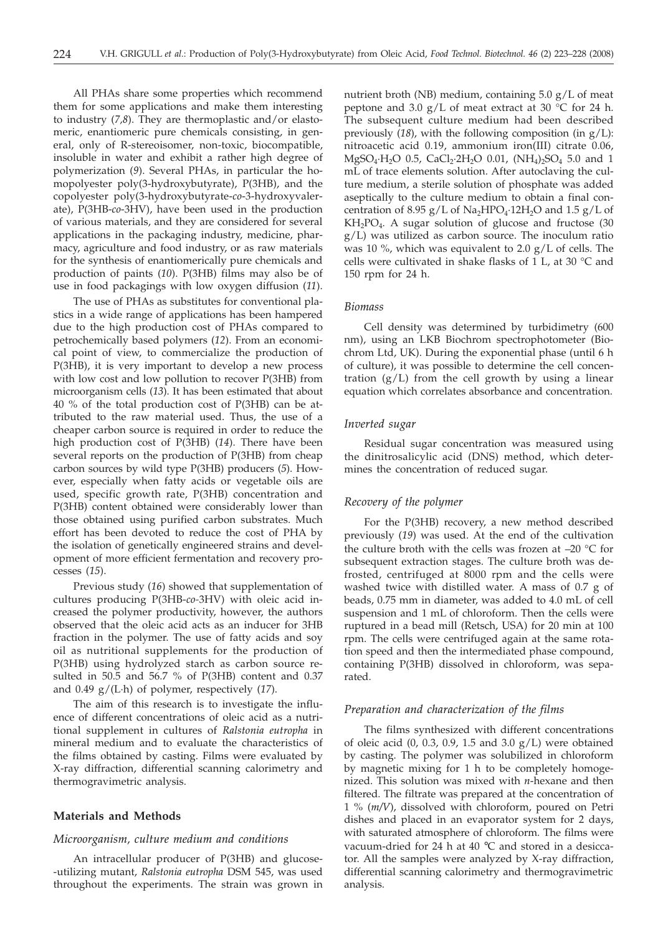All PHAs share some properties which recommend them for some applications and make them interesting to industry (*7,8*). They are thermoplastic and/or elastomeric, enantiomeric pure chemicals consisting, in general, only of R-stereoisomer, non-toxic, biocompatible, insoluble in water and exhibit a rather high degree of polymerization (*9*). Several PHAs, in particular the homopolyester poly(3-hydroxybutyrate), P(3HB), and the copolyester poly(3-hydroxybutyrate-*co*-3-hydroxyvalerate), P(3HB-*co*-3HV), have been used in the production of various materials, and they are considered for several applications in the packaging industry, medicine, pharmacy, agriculture and food industry, or as raw materials for the synthesis of enantiomerically pure chemicals and production of paints (*10*). P(3HB) films may also be of use in food packagings with low oxygen diffusion (*11*).

The use of PHAs as substitutes for conventional plastics in a wide range of applications has been hampered due to the high production cost of PHAs compared to petrochemically based polymers (*12*). From an economical point of view, to commercialize the production of P(3HB), it is very important to develop a new process with low cost and low pollution to recover P(3HB) from microorganism cells (*13*). It has been estimated that about 40 % of the total production cost of P(3HB) can be attributed to the raw material used. Thus, the use of a cheaper carbon source is required in order to reduce the high production cost of P(3HB) (*14*). There have been several reports on the production of P(3HB) from cheap carbon sources by wild type P(3HB) producers (*5*). However, especially when fatty acids or vegetable oils are used, specific growth rate, P(3HB) concentration and P(3HB) content obtained were considerably lower than those obtained using purified carbon substrates. Much effort has been devoted to reduce the cost of PHA by the isolation of genetically engineered strains and development of more efficient fermentation and recovery processes (*15*).

Previous study (*16*) showed that supplementation of cultures producing P(3HB-*co-*3HV) with oleic acid increased the polymer productivity, however, the authors observed that the oleic acid acts as an inducer for 3HB fraction in the polymer. The use of fatty acids and soy oil as nutritional supplements for the production of P(3HB) using hydrolyzed starch as carbon source resulted in 50.5 and 56.7 % of P(3HB) content and 0.37 and 0.49 g/(L·h) of polymer, respectively (*17*).

The aim of this research is to investigate the influence of different concentrations of oleic acid as a nutritional supplement in cultures of *Ralstonia eutropha* in mineral medium and to evaluate the characteristics of the films obtained by casting. Films were evaluated by X-ray diffraction, differential scanning calorimetry and thermogravimetric analysis.

## **Materials and Methods**

#### *Microorganism, culture medium and conditions*

An intracellular producer of P(3HB) and glucose- -utilizing mutant, *Ralstonia eutropha* DSM 545, was used throughout the experiments. The strain was grown in nutrient broth (NB) medium, containing 5.0 g/L of meat peptone and 3.0  $g/L$  of meat extract at 30 °C for 24 h. The subsequent culture medium had been described previously (*18*), with the following composition (in g/L): nitroacetic acid 0.19, ammonium iron(III) citrate 0.06,  $MgSO_4·H_2O$  0.5,  $CaCl_2·2H_2O$  0.01,  $(NH_4)_2SO_4$  5.0 and 1 mL of trace elements solution. After autoclaving the culture medium, a sterile solution of phosphate was added aseptically to the culture medium to obtain a final concentration of 8.95  $g/L$  of Na<sub>2</sub>HPO<sub>4</sub>·12H<sub>2</sub>O and 1.5  $g/L$  of  $KH<sub>2</sub>PO<sub>4</sub>$ . A sugar solution of glucose and fructose (30 g/L) was utilized as carbon source. The inoculum ratio was 10 %, which was equivalent to 2.0  $g/L$  of cells. The cells were cultivated in shake flasks of 1 L, at 30 °C and 150 rpm for 24 h.

## *Biomass*

Cell density was determined by turbidimetry (600 nm), using an LKB Biochrom spectrophotometer (Biochrom Ltd, UK). During the exponential phase (until 6 h of culture), it was possible to determine the cell concentration  $(g/L)$  from the cell growth by using a linear equation which correlates absorbance and concentration.

## *Inverted sugar*

Residual sugar concentration was measured using the dinitrosalicylic acid (DNS) method, which determines the concentration of reduced sugar.

## *Recovery of the polymer*

For the P(3HB) recovery, a new method described previously (*19*) was used. At the end of the cultivation the culture broth with the cells was frozen at *–*20 °C for subsequent extraction stages. The culture broth was defrosted, centrifuged at 8000 rpm and the cells were washed twice with distilled water. A mass of 0.7 g of beads, 0.75 mm in diameter, was added to 4.0 mL of cell suspension and 1 mL of chloroform. Then the cells were ruptured in a bead mill (Retsch, USA) for 20 min at 100 rpm. The cells were centrifuged again at the same rotation speed and then the intermediated phase compound, containing P(3HB) dissolved in chloroform, was separated.

## *Preparation and characterization of the films*

The films synthesized with different concentrations of oleic acid (0, 0.3, 0.9, 1.5 and 3.0 g/L) were obtained by casting. The polymer was solubilized in chloroform by magnetic mixing for 1 h to be completely homogenized. This solution was mixed with *n*-hexane and then filtered. The filtrate was prepared at the concentration of 1%(*m/V*), dissolved with chloroform, poured on Petri dishes and placed in an evaporator system for 2 days, with saturated atmosphere of chloroform. The films were vacuum-dried for 24 h at 40 °C and stored in a desiccator. All the samples were analyzed by X-ray diffraction, differential scanning calorimetry and thermogravimetric analysis.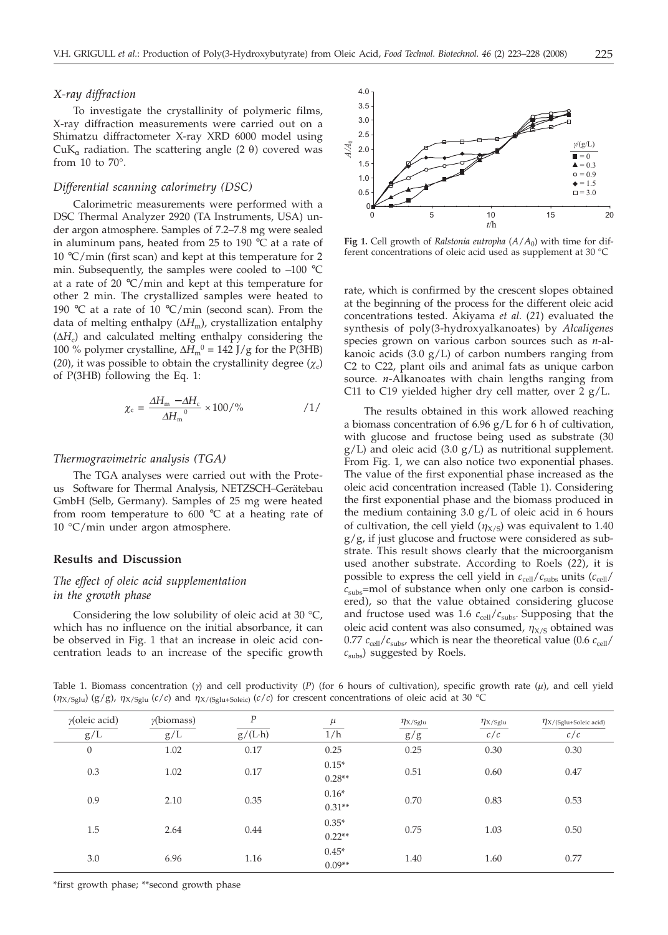## *X-ray diffraction*

To investigate the crystallinity of polymeric films, X-ray diffraction measurements were carried out on a Shimatzu diffractometer X-ray XRD 6000 model using CuK<sub>α</sub> radiation. The scattering angle (2  $\theta$ ) covered was from 10 to  $70^\circ$ .

#### *Differential scanning calorimetry (DSC)*

Calorimetric measurements were performed with a DSC Thermal Analyzer 2920 (TA Instruments, USA) under argon atmosphere. Samples of 7.2–7.8 mg were sealed in aluminum pans, heated from 25 to 190 °C at a rate of 10 °C/min (first scan) and kept at this temperature for 2 min. Subsequently, the samples were cooled to *–*<sup>100</sup> °<sup>C</sup> at a rate of 20  $\degree$ C/min and kept at this temperature for other 2 min. The crystallized samples were heated to 190 °C at a rate of 10 °C/min (second scan). From the data of melting enthalpy  $(\Delta H_m)$ , crystallization entalphy  $(\Delta H_c)$  and calculated melting enthalpy considering the 100 % polymer crystalline,  $\Delta H_{\text{m}}^0$  = 142 J/g for the P(3HB) (20), it was possible to obtain the crystallinity degree  $(\chi_c)$ of P(3HB) following the Eq. 1:

$$
\chi_{\rm c} = \frac{\Delta H_{\rm m} - \Delta H_{\rm c}}{\Delta H_{\rm m}^0} \times 100\frac{\%}{\%} \tag{1}
$$

#### *Thermogravimetric analysis (TGA)*

The TGA analyses were carried out with the Proteus<sup>®</sup> Software for Thermal Analysis, NETZSCH-Gerätebau GmbH (Selb, Germany). Samples of 25 mg were heated from room temperature to  $600\text{ °C}$  at a heating rate of 10 °C/min under argon atmosphere.

## **Results and Discussion**

# *The effect of oleic acid supplementation in the growth phase*

Considering the low solubility of oleic acid at 30 °C, which has no influence on the initial absorbance, it can be observed in Fig. 1 that an increase in oleic acid concentration leads to an increase of the specific growth



**Fig 1.** Cell growth of *Ralstonia eutropha*  $(A/A_0)$  with time for different concentrations of oleic acid used as supplement at 30 °C

rate, which is confirmed by the crescent slopes obtained at the beginning of the process for the different oleic acid concentrations tested. Akiyama *et al.* (*21*) evaluated the synthesis of poly(3-hydroxyalkanoates) by *Alcaligenes* species grown on various carbon sources such as *n*-alkanoic acids (3.0 g/L) of carbon numbers ranging from C2 to C22, plant oils and animal fats as unique carbon source. *n*-Alkanoates with chain lengths ranging from C11 to C19 yielded higher dry cell matter, over 2 g/L.

The results obtained in this work allowed reaching a biomass concentration of 6.96 g/L for 6 h of cultivation, with glucose and fructose being used as substrate (30  $g/L$ ) and oleic acid (3.0  $g/L$ ) as nutritional supplement. From Fig. 1, we can also notice two exponential phases. The value of the first exponential phase increased as the oleic acid concentration increased (Table 1). Considering the first exponential phase and the biomass produced in the medium containing  $3.0 \text{ g/L}$  of oleic acid in 6 hours of cultivation, the cell yield  $(\eta_{X/S})$  was equivalent to 1.40 g/g, if just glucose and fructose were considered as substrate. This result shows clearly that the microorganism used another substrate. According to Roels (*22*), it is possible to express the cell yield in  $c_{\text{cell}}/c_{\text{subs}}$  units  $(c_{\text{cell}}/c_{\text{cell}})$ *c*subs=mol of substance when only one carbon is considered), so that the value obtained considering glucose and fructose used was 1.6  $c_{cell}/c_{subs}$ . Supposing that the oleic acid content was also consumed,  $\eta_{X/S}$  obtained was 0.77  $c_{\text{cell}}/c_{\text{subs}}$ , which is near the theoretical value (0.6  $c_{\text{cell}}/c_{\text{sub}}$ ) *c*subs) suggested by Roels.

Table 1. Biomass concentration ( $\gamma$ ) and cell productivity (P) (for 6 hours of cultivation), specific growth rate ( $\mu$ ), and cell yield  $(\eta_{X/Sglu}) (g/g)$ ,  $\eta_{X/Sglu} (c/c)$  and  $\eta_{X/Sglu+Soleicl} (c/c)$  for crescent concentrations of oleic acid at 30 °C

| $\gamma$ (oleic acid) | $\gamma$ (biomass) | $\boldsymbol{P}$ | $\mu$               | $\eta$ X/Sglu | $\eta$ X/Sglu | $\eta$ X/(Sglu+Soleic acid) |
|-----------------------|--------------------|------------------|---------------------|---------------|---------------|-----------------------------|
| g/L                   | g/L                | $g/(L \cdot h)$  | 1/h                 | g/g           | c/c           | c/c                         |
| $\theta$              | 1.02               | 0.17             | 0.25                | 0.25          | 0.30          | 0.30                        |
| 0.3                   | 1.02               | 0.17             | $0.15*$<br>$0.28**$ | 0.51          | 0.60          | 0.47                        |
| 0.9                   | 2.10               | 0.35             | $0.16*$<br>$0.31**$ | 0.70          | 0.83          | 0.53                        |
| 1.5                   | 2.64               | 0.44             | $0.35*$<br>$0.22**$ | 0.75          | 1.03          | 0.50                        |
| 3.0                   | 6.96               | 1.16             | $0.45*$<br>$0.09**$ | 1.40          | 1.60          | 0.77                        |

\*first growth phase; \*\*second growth phase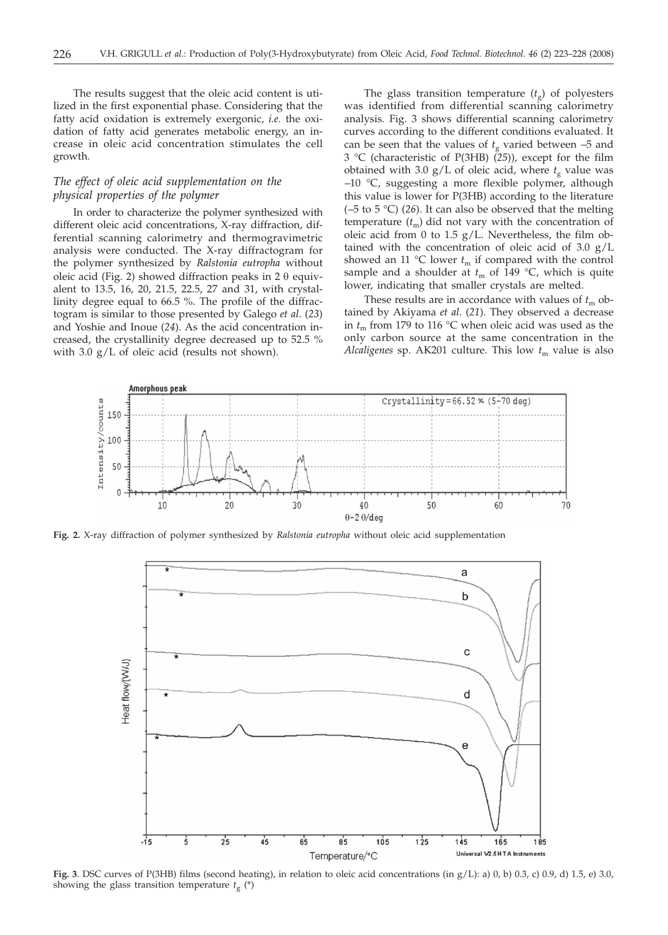The results suggest that the oleic acid content is utilized in the first exponential phase. Considering that the fatty acid oxidation is extremely exergonic, *i.e.* the oxidation of fatty acid generates metabolic energy, an increase in oleic acid concentration stimulates the cell growth.

## *The effect of oleic acid supplementation on the physical properties of the polymer*

In order to characterize the polymer synthesized with different oleic acid concentrations, X-ray diffraction, differential scanning calorimetry and thermogravimetric analysis were conducted. The X-ray diffractogram for the polymer synthesized by *Ralstonia eutropha* without oleic acid (Fig. 2) showed diffraction peaks in  $2 \theta$  equivalent to 13.5, 16, 20, 21.5, 22.5, 27 and 31, with crystallinity degree equal to 66.5 %. The profile of the diffractogram is similar to those presented by Galego *et al*. (*23*) and Yoshie and Inoue (*24*). As the acid concentration increased, the crystallinity degree decreased up to 52.5 % with 3.0 g/L of oleic acid (results not shown).

The glass transition temperature  $(t<sub>g</sub>)$  of polyesters was identified from differential scanning calorimetry analysis. Fig. 3 shows differential scanning calorimetry curves according to the different conditions evaluated. It can be seen that the values of  $t<sub>g</sub>$  varied between  $-5$  and 3 °C (characteristic of P(3HB) (*25*)), except for the film obtained with 3.0  $g/L$  of oleic acid, where  $t_g$  value was *–*10 °C, suggesting a more flexible polymer, although this value is lower for P(3HB) according to the literature (*–*5 to 5 °C) (*26*). It can also be observed that the melting temperature  $(t_m)$  did not vary with the concentration of oleic acid from 0 to 1.5  $g/L$ . Nevertheless, the film obtained with the concentration of oleic acid of 3.0  $g/L$ showed an 11 °C lower  $t_m$  if compared with the control sample and a shoulder at  $t_m$  of 149 °C, which is quite lower, indicating that smaller crystals are melted.

These results are in accordance with values of  $t<sub>m</sub>$  obtained by Akiyama *et al.* (*21*). They observed a decrease in  $t_m$  from 179 to 116 °C when oleic acid was used as the only carbon source at the same concentration in the *Alcaligenes* sp. AK201 culture. This low  $t_m$  value is also



**Fig. 2.** X-ray diffraction of polymer synthesized by *Ralstonia eutropha* without oleic acid supplementation



**Fig. 3**. DSC curves of P(3HB) films (second heating), in relation to oleic acid concentrations (in g/L): a) 0, b) 0.3, c) 0.9, d) 1.5, e) 3.0, showing the glass transition temperature  $t_g$  (\*)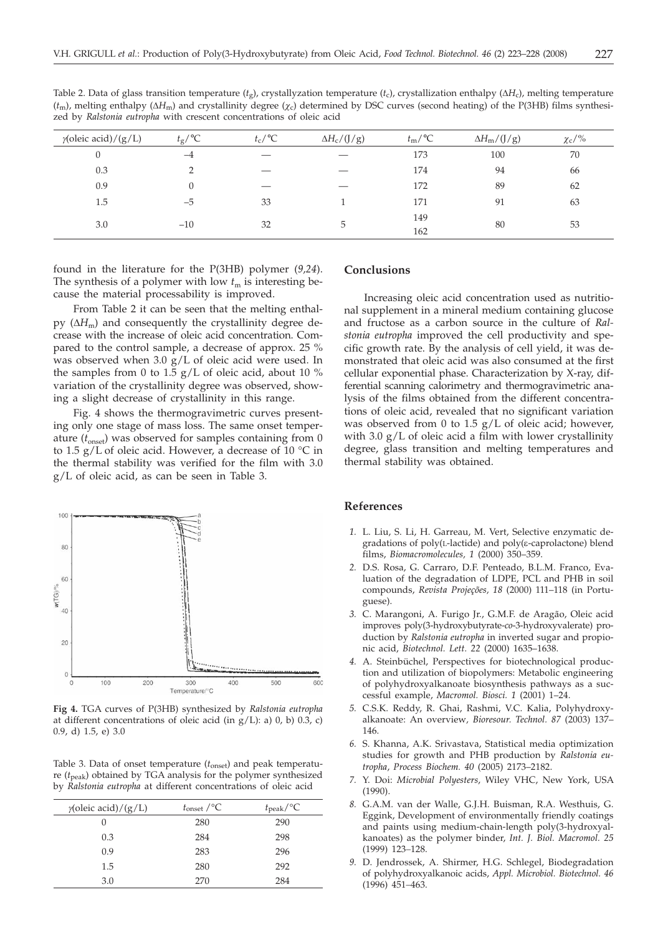| $\gamma$ (oleic acid)/(g/L) | $t_{\rm g}/^{\circ}C$ | $t_c$ /°C | $\Delta H_c/(J/g)$ | $t_{\rm m}/\text{°C}$ | $\Delta H_m/(J/g)$ | $\chi_c/\%$ |  |
|-----------------------------|-----------------------|-----------|--------------------|-----------------------|--------------------|-------------|--|
| 0                           | $-4$                  |           |                    | 173                   | 100                | 70          |  |
| 0.3                         |                       |           |                    | 174                   | 94                 | 66          |  |
| 0.9                         | 0                     |           |                    | 172                   | 89                 | 62          |  |
| 1.5                         | $-5$                  | 33        |                    | 171                   | 91                 | 63          |  |
| 3.0                         | $-10$                 | 32        | 5                  | 149                   | 80                 | 53          |  |
|                             |                       |           |                    | 162                   |                    |             |  |
|                             |                       |           |                    |                       |                    |             |  |

Table 2. Data of glass transition temperature  $(t_g)$ , crystallyzation temperature  $(t_c)$ , crystallization enthalpy ( $\Delta H_c$ ), melting temperature  $(t_m)$ , melting enthalpy ( $\Delta H_m$ ) and crystallinity degree ( $\chi_c$ ) determined by DSC curves (second heating) of the P(3HB) films synthesized by *Ralstonia eutropha* with crescent concentrations of oleic acid

found in the literature for the P(3HB) polymer (*9,24*). The synthesis of a polymer with low  $t<sub>m</sub>$  is interesting because the material processability is improved.

From Table 2 it can be seen that the melting enthalpy  $(\Delta H_m)$  and consequently the crystallinity degree decrease with the increase of oleic acid concentration. Compared to the control sample, a decrease of approx. 25 % was observed when 3.0 g/L of oleic acid were used. In the samples from 0 to 1.5  $g/L$  of oleic acid, about 10 % variation of the crystallinity degree was observed, showing a slight decrease of crystallinity in this range.

Fig. 4 shows the thermogravimetric curves presenting only one stage of mass loss. The same onset temperature  $(t<sub>onset</sub>)$  was observed for samples containing from 0 to 1.5 g/L of oleic acid. However, a decrease of 10  $^{\circ}$ C in the thermal stability was verified for the film with 3.0 g/L of oleic acid, as can be seen in Table 3.



**Fig 4.** TGA curves of P(3HB) synthesized by *Ralstonia eutropha* at different concentrations of oleic acid (in  $g/L$ ): a) 0, b) 0.3, c) 0.9, d) 1.5, e) 3.0

Table 3. Data of onset temperature (*t*onset) and peak temperature (*t*peak) obtained by TGA analysis for the polymer synthesized by *Ralstonia eutropha* at different concentrations of oleic acid

| $\gamma$ (oleic acid)/(g/L) | $t_{\text{onset}}$ /°C | $t_{\rm peak}/^{\circ}C$ |
|-----------------------------|------------------------|--------------------------|
| 0                           | 280                    | 290                      |
| 0.3                         | 284                    | 298                      |
| 0.9                         | 283                    | 296                      |
| 1.5                         | 280                    | 292                      |
| 3.0                         | 270                    | 284                      |

## **Conclusions**

Increasing oleic acid concentration used as nutritional supplement in a mineral medium containing glucose and fructose as a carbon source in the culture of *Ralstonia eutropha* improved the cell productivity and specific growth rate. By the analysis of cell yield, it was demonstrated that oleic acid was also consumed at the first cellular exponential phase. Characterization by X-ray, differential scanning calorimetry and thermogravimetric analysis of the films obtained from the different concentrations of oleic acid, revealed that no significant variation was observed from 0 to  $1.5$  g/L of oleic acid; however, with 3.0 g/L of oleic acid a film with lower crystallinity degree, glass transition and melting temperatures and thermal stability was obtained.

#### **References**

- *1.* L. Liu, S. Li, H. Garreau, M. Vert, Selective enzymatic degradations of poly(L-lactide) and poly(e-caprolactone) blend films, *Biomacromolecules, 1* (2000) 350–359.
- *2.* D.S. Rosa, G. Carraro, D.F. Penteado, B.L.M. Franco, Evaluation of the degradation of LDPE, PCL and PHB in soil compounds, *Revista Projeções, 18* (2000) 111–118 (in Portuguese).
- *3.* C. Marangoni, A. Furigo Jr., G.M.F. de Aragão, Oleic acid improves poly(3-hydroxybutyrate-*co*-3-hydroxyvalerate) production by *Ralstonia eutropha* in inverted sugar and propionic acid, *Biotechnol. Lett. 22* (2000) 1635–1638.
- *4.* A. Steinbüchel, Perspectives for biotechnological production and utilization of biopolymers: Metabolic engineering of polyhydroxyalkanoate biosynthesis pathways as a successful example, *Macromol. Biosci. 1* (2001) 1–24.
- *5.* C.S.K. Reddy, R. Ghai, Rashmi, V.C. Kalia, Polyhydroxyalkanoate: An overview*, Bioresour. Technol. 87* (2003) 137– 146.
- *6.* S. Khanna, A.K. Srivastava, Statistical media optimization studies for growth and PHB production by *Ralstonia eutropha*, *Process Biochem. 40* (2005) 2173–2182.
- *7.* Y. Doi: *Microbial Polyesters*, Wiley VHC, New York, USA (1990).
- *8.* G.A.M. van der Walle, G.J.H. Buisman, R.A. Westhuis, G. Eggink, Development of environmentally friendly coatings and paints using medium-chain-length poly(3-hydroxyalkanoates) as the polymer binder, *Int. J. Biol. Macromol. 25* (1999) 123*–*128.
- *9.* D. Jendrossek, A. Shirmer, H.G. Schlegel, Biodegradation of polyhydroxyalkanoic acids, *Appl. Microbiol. Biotechnol. 46* (1996) 451*–*463.